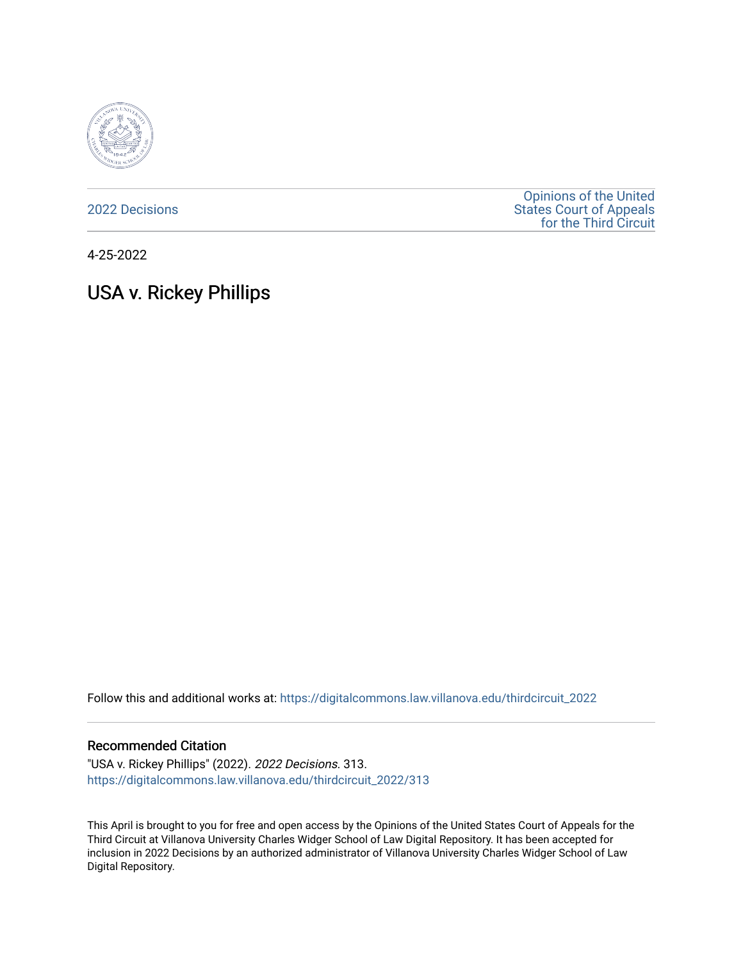

[2022 Decisions](https://digitalcommons.law.villanova.edu/thirdcircuit_2022)

[Opinions of the United](https://digitalcommons.law.villanova.edu/thirdcircuit)  [States Court of Appeals](https://digitalcommons.law.villanova.edu/thirdcircuit)  [for the Third Circuit](https://digitalcommons.law.villanova.edu/thirdcircuit) 

4-25-2022

# USA v. Rickey Phillips

Follow this and additional works at: [https://digitalcommons.law.villanova.edu/thirdcircuit\\_2022](https://digitalcommons.law.villanova.edu/thirdcircuit_2022?utm_source=digitalcommons.law.villanova.edu%2Fthirdcircuit_2022%2F313&utm_medium=PDF&utm_campaign=PDFCoverPages) 

### Recommended Citation

"USA v. Rickey Phillips" (2022). 2022 Decisions. 313. [https://digitalcommons.law.villanova.edu/thirdcircuit\\_2022/313](https://digitalcommons.law.villanova.edu/thirdcircuit_2022/313?utm_source=digitalcommons.law.villanova.edu%2Fthirdcircuit_2022%2F313&utm_medium=PDF&utm_campaign=PDFCoverPages)

This April is brought to you for free and open access by the Opinions of the United States Court of Appeals for the Third Circuit at Villanova University Charles Widger School of Law Digital Repository. It has been accepted for inclusion in 2022 Decisions by an authorized administrator of Villanova University Charles Widger School of Law Digital Repository.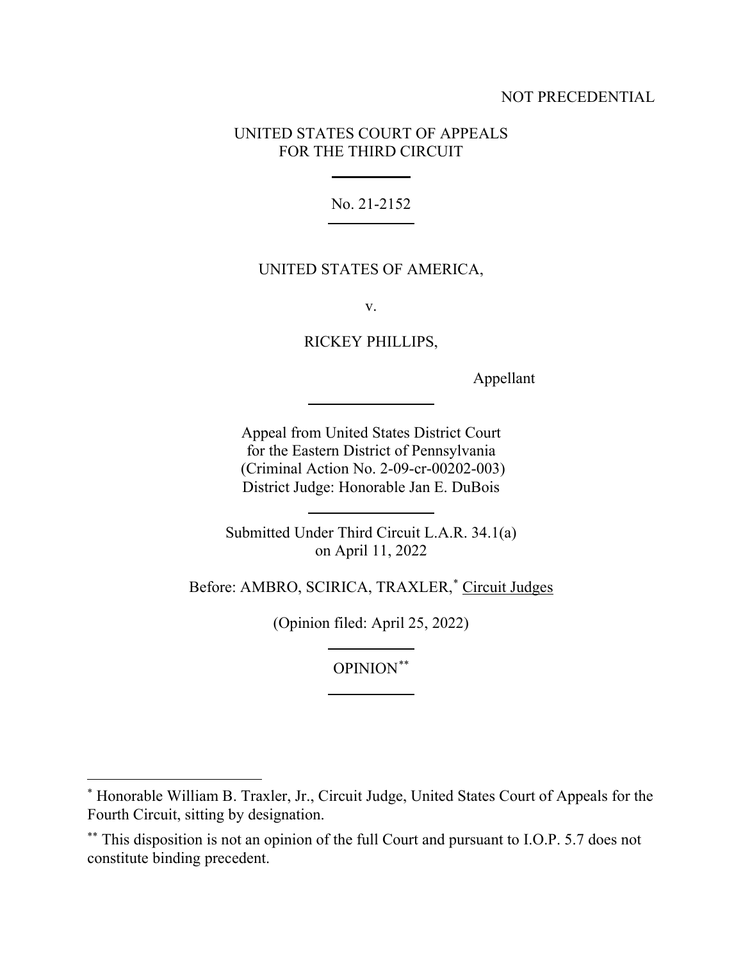# NOT PRECEDENTIAL

# UNITED STATES COURT OF APPEALS FOR THE THIRD CIRCUIT

No. 21-2152

# UNITED STATES OF AMERICA,

v.

RICKEY PHILLIPS,

Appellant

Appeal from United States District Court for the Eastern District of Pennsylvania (Criminal Action No. 2-09-cr-00202-003) District Judge: Honorable Jan E. DuBois

Submitted Under Third Circuit L.A.R. 34.1(a) on April 11, 2022

Before: AMBRO, SCIRICA, TRAXLER,<sup>\*</sup> Circuit Judges

(Opinion filed: April 25, 2022)

OPINION\*\*

<sup>\*</sup> Honorable William B. Traxler, Jr., Circuit Judge, United States Court of Appeals for the Fourth Circuit, sitting by designation.

<sup>\*\*</sup> This disposition is not an opinion of the full Court and pursuant to I.O.P. 5.7 does not constitute binding precedent.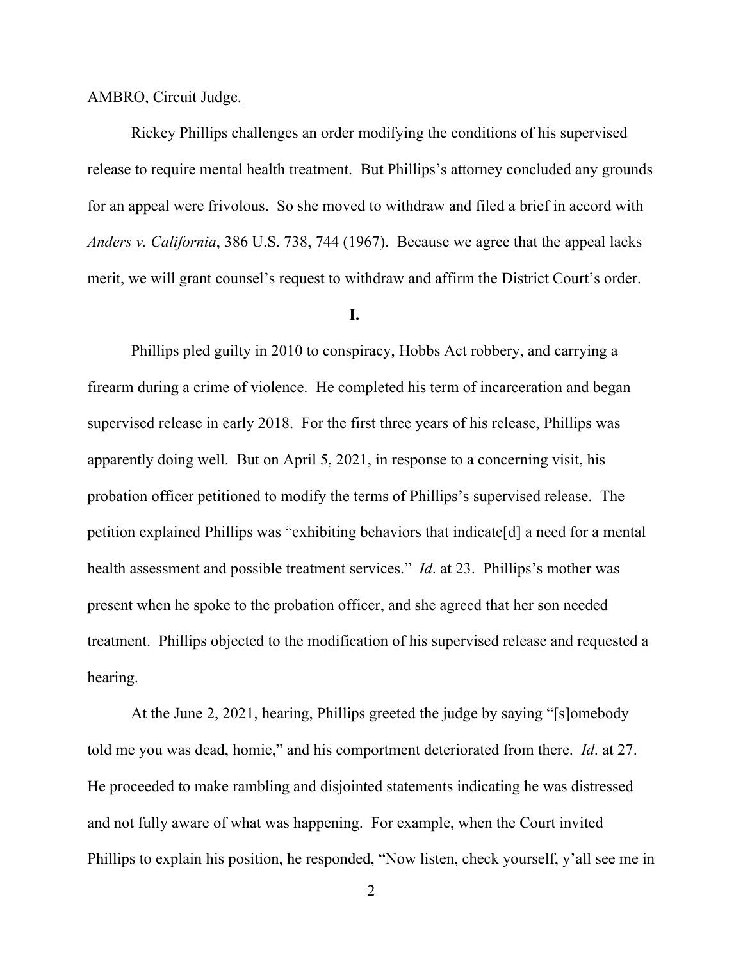#### AMBRO, Circuit Judge.

Rickey Phillips challenges an order modifying the conditions of his supervised release to require mental health treatment. But Phillips's attorney concluded any grounds for an appeal were frivolous. So she moved to withdraw and filed a brief in accord with *Anders v. California*, 386 U.S. 738, 744 (1967). Because we agree that the appeal lacks merit, we will grant counsel's request to withdraw and affirm the District Court's order.

## **I.**

Phillips pled guilty in 2010 to conspiracy, Hobbs Act robbery, and carrying a firearm during a crime of violence. He completed his term of incarceration and began supervised release in early 2018. For the first three years of his release, Phillips was apparently doing well. But on April 5, 2021, in response to a concerning visit, his probation officer petitioned to modify the terms of Phillips's supervised release. The petition explained Phillips was "exhibiting behaviors that indicate[d] a need for a mental health assessment and possible treatment services." *Id*. at 23. Phillips's mother was present when he spoke to the probation officer, and she agreed that her son needed treatment. Phillips objected to the modification of his supervised release and requested a hearing.

At the June 2, 2021, hearing, Phillips greeted the judge by saying "[s]omebody told me you was dead, homie," and his comportment deteriorated from there. *Id*. at 27. He proceeded to make rambling and disjointed statements indicating he was distressed and not fully aware of what was happening. For example, when the Court invited Phillips to explain his position, he responded, "Now listen, check yourself, y'all see me in

2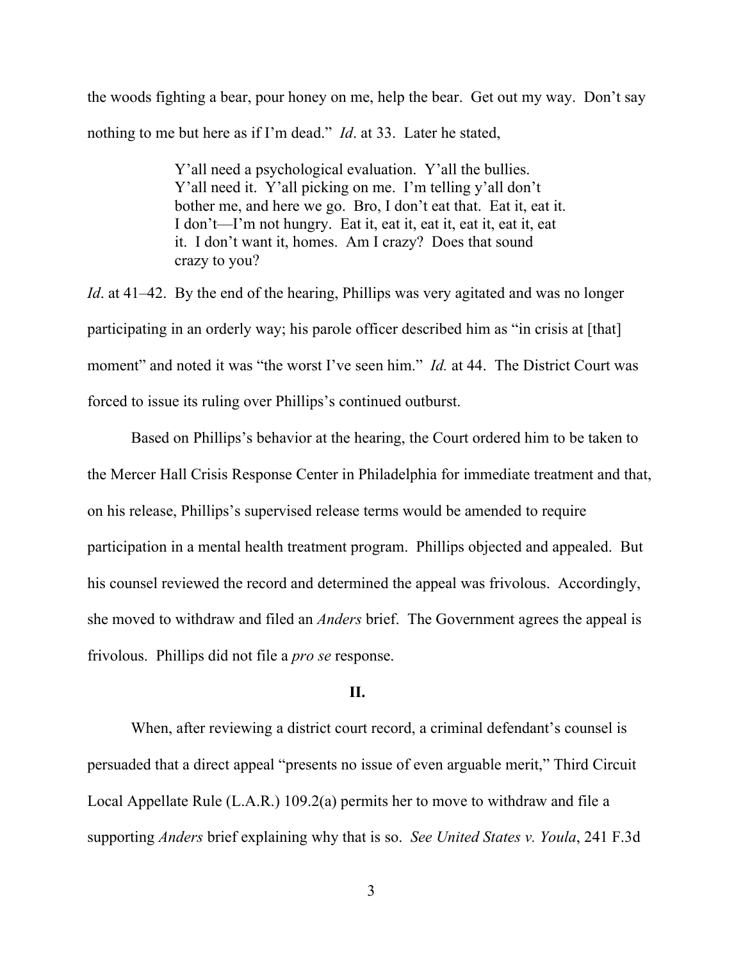the woods fighting a bear, pour honey on me, help the bear. Get out my way. Don't say nothing to me but here as if I'm dead." *Id*. at 33. Later he stated,

> Y'all need a psychological evaluation. Y'all the bullies. Y'all need it. Y'all picking on me. I'm telling y'all don't bother me, and here we go. Bro, I don't eat that. Eat it, eat it. I don't—I'm not hungry. Eat it, eat it, eat it, eat it, eat it, eat it. I don't want it, homes. Am I crazy? Does that sound crazy to you?

*Id*. at 41–42. By the end of the hearing, Phillips was very agitated and was no longer participating in an orderly way; his parole officer described him as "in crisis at [that] moment" and noted it was "the worst I've seen him." *Id.* at 44. The District Court was forced to issue its ruling over Phillips's continued outburst.

Based on Phillips's behavior at the hearing, the Court ordered him to be taken to the Mercer Hall Crisis Response Center in Philadelphia for immediate treatment and that, on his release, Phillips's supervised release terms would be amended to require participation in a mental health treatment program. Phillips objected and appealed. But his counsel reviewed the record and determined the appeal was frivolous. Accordingly, she moved to withdraw and filed an *Anders* brief. The Government agrees the appeal is frivolous. Phillips did not file a *pro se* response.

## **II.**

When, after reviewing a district court record, a criminal defendant's counsel is persuaded that a direct appeal "presents no issue of even arguable merit," Third Circuit Local Appellate Rule (L.A.R.) 109.2(a) permits her to move to withdraw and file a supporting *Anders* brief explaining why that is so. *See United States v. Youla*, 241 F.3d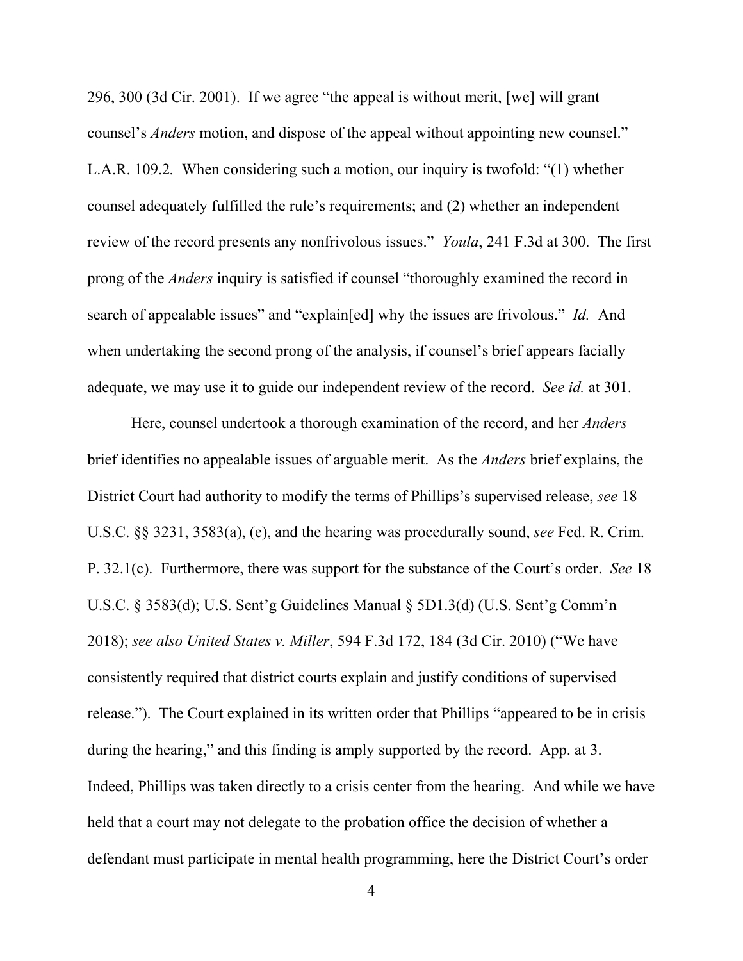296, 300 (3d Cir. 2001). If we agree "the appeal is without merit, [we] will grant counsel's *Anders* motion, and dispose of the appeal without appointing new counsel." L.A.R. 109.2*.* When considering such a motion, our inquiry is twofold: "(1) whether counsel adequately fulfilled the rule's requirements; and (2) whether an independent review of the record presents any nonfrivolous issues." *Youla*, 241 F.3d at 300. The first prong of the *Anders* inquiry is satisfied if counsel "thoroughly examined the record in search of appealable issues" and "explain[ed] why the issues are frivolous." *Id.* And when undertaking the second prong of the analysis, if counsel's brief appears facially adequate, we may use it to guide our independent review of the record. *See id.* at 301.

Here, counsel undertook a thorough examination of the record, and her *Anders* brief identifies no appealable issues of arguable merit. As the *Anders* brief explains, the District Court had authority to modify the terms of Phillips's supervised release, *see* 18 U.S.C. §§ 3231, 3583(a), (e), and the hearing was procedurally sound, *see* Fed. R. Crim. P. 32.1(c). Furthermore, there was support for the substance of the Court's order. *See* 18 U.S.C. § 3583(d); U.S. Sent'g Guidelines Manual § 5D1.3(d) (U.S. Sent'g Comm'n 2018); *see also United States v. Miller*, 594 F.3d 172, 184 (3d Cir. 2010) ("We have consistently required that district courts explain and justify conditions of supervised release."). The Court explained in its written order that Phillips "appeared to be in crisis during the hearing," and this finding is amply supported by the record. App. at 3. Indeed, Phillips was taken directly to a crisis center from the hearing. And while we have held that a court may not delegate to the probation office the decision of whether a defendant must participate in mental health programming, here the District Court's order

4